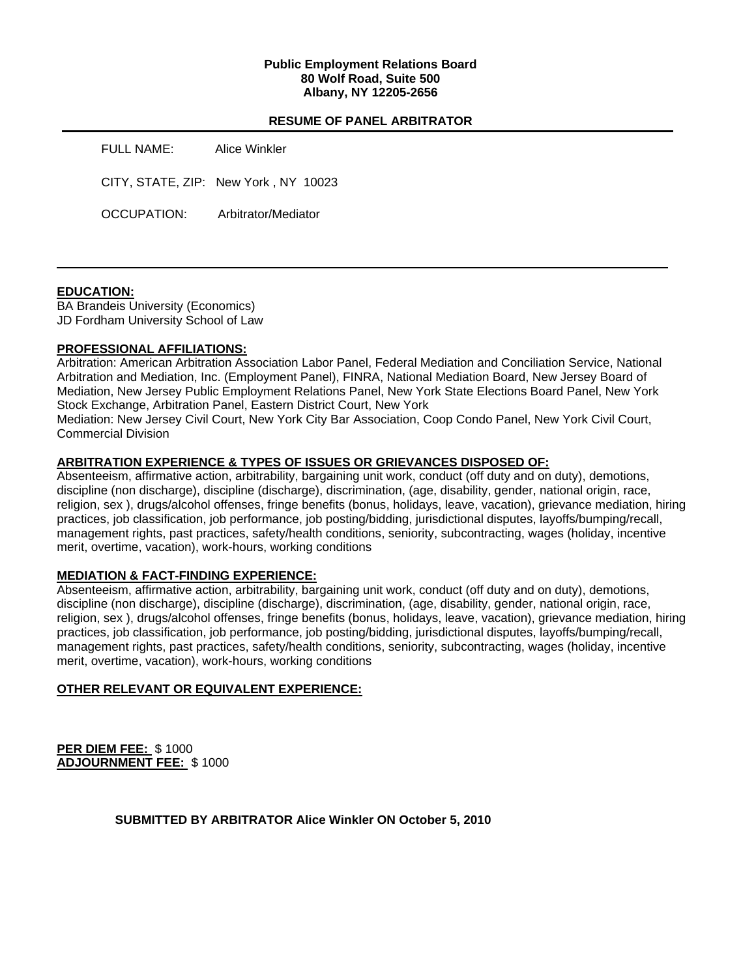### **Public Employment Relations Board 80 Wolf Road, Suite 500 Albany, NY 12205-2656**

## **RESUME OF PANEL ARBITRATOR**

FULL NAME: Alice Winkler CITY, STATE, ZIP: New York , NY 10023 OCCUPATION: Arbitrator/Mediator

### **EDUCATION:**

BA Brandeis University (Economics) JD Fordham University School of Law

## **PROFESSIONAL AFFILIATIONS:**

Arbitration: American Arbitration Association Labor Panel, Federal Mediation and Conciliation Service, National Arbitration and Mediation, Inc. (Employment Panel), FINRA, National Mediation Board, New Jersey Board of Mediation, New Jersey Public Employment Relations Panel, New York State Elections Board Panel, New York Stock Exchange, Arbitration Panel, Eastern District Court, New York

Mediation: New Jersey Civil Court, New York City Bar Association, Coop Condo Panel, New York Civil Court, Commercial Division

## **ARBITRATION EXPERIENCE & TYPES OF ISSUES OR GRIEVANCES DISPOSED OF:**

Absenteeism, affirmative action, arbitrability, bargaining unit work, conduct (off duty and on duty), demotions, discipline (non discharge), discipline (discharge), discrimination, (age, disability, gender, national origin, race, religion, sex ), drugs/alcohol offenses, fringe benefits (bonus, holidays, leave, vacation), grievance mediation, hiring practices, job classification, job performance, job posting/bidding, jurisdictional disputes, layoffs/bumping/recall, management rights, past practices, safety/health conditions, seniority, subcontracting, wages (holiday, incentive merit, overtime, vacation), work-hours, working conditions

### **MEDIATION & FACT-FINDING EXPERIENCE:**

Absenteeism, affirmative action, arbitrability, bargaining unit work, conduct (off duty and on duty), demotions, discipline (non discharge), discipline (discharge), discrimination, (age, disability, gender, national origin, race, religion, sex ), drugs/alcohol offenses, fringe benefits (bonus, holidays, leave, vacation), grievance mediation, hiring practices, job classification, job performance, job posting/bidding, jurisdictional disputes, layoffs/bumping/recall, management rights, past practices, safety/health conditions, seniority, subcontracting, wages (holiday, incentive merit, overtime, vacation), work-hours, working conditions

### **OTHER RELEVANT OR EQUIVALENT EXPERIENCE:**

**PER DIEM FEE:** \$ 1000 **ADJOURNMENT FEE:** \$ 1000

**SUBMITTED BY ARBITRATOR Alice Winkler ON October 5, 2010**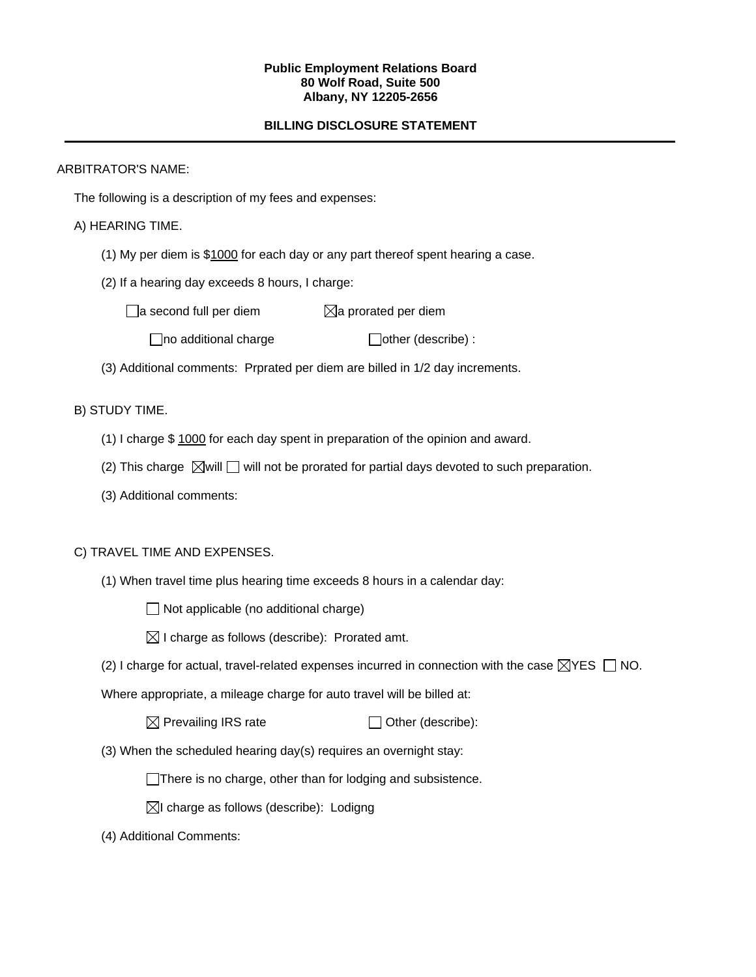#### **Public Employment Relations Board 80 Wolf Road, Suite 500 Albany, NY 12205-2656**

# **BILLING DISCLOSURE STATEMENT**

## ARBITRATOR'S NAME:

The following is a description of my fees and expenses:

# A) HEARING TIME.

- (1) My per diem is \$1000 for each day or any part thereof spent hearing a case.
- (2) If a hearing day exceeds 8 hours, I charge:

 $\Box$ a second full per diem  $\boxtimes$ a prorated per diem

 $\Box$ no additional charge  $\Box$ other (describe) :

(3) Additional comments: Prprated per diem are billed in 1/2 day increments.

# B) STUDY TIME.

- (1) I charge \$ 1000 for each day spent in preparation of the opinion and award.
- (2) This charge  $\boxtimes$  will  $\Box$  will not be prorated for partial days devoted to such preparation.
- (3) Additional comments:

# C) TRAVEL TIME AND EXPENSES.

(1) When travel time plus hearing time exceeds 8 hours in a calendar day:

 $\Box$  Not applicable (no additional charge)

 $\boxtimes$  I charge as follows (describe): Prorated amt.

(2) I charge for actual, travel-related expenses incurred in connection with the case  $\boxtimes$ YES  $\Box$  NO.

Where appropriate, a mileage charge for auto travel will be billed at:

 $\boxtimes$  Prevailing IRS rate  $\Box$  Other (describe):

(3) When the scheduled hearing day(s) requires an overnight stay:

There is no charge, other than for lodging and subsistence.

 $\boxtimes$ I charge as follows (describe): Lodigng

(4) Additional Comments: